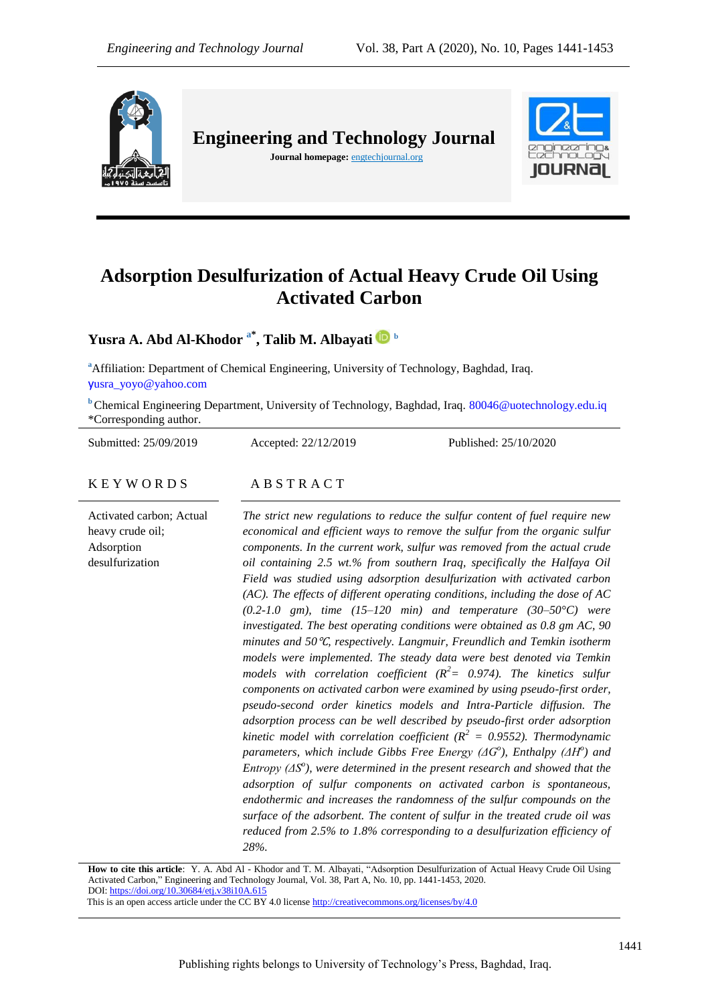

**Engineering and Technology Journal** 

**Journal homepage:** engtechjournal.org



# **Adsorption Desulfurization of Actual Heavy Crude Oil Using Activated Carbon**

# **Yusra A. Abd Al-Khodor a\* , Talib M. Albayati <sup>b</sup>**

**<sup>a</sup>**Affiliation: Department of Chemical Engineering, University of Technology, Baghdad, Iraq. y[usra\\_yoyo@yahoo.com](mailto:yusra_yoyo@yahoo.com)

**b** Chemical Engineering Department, University of Technology, Baghdad, Iraq. 80046@uotechnology.edu.iq \*Corresponding author.

Submitted: 25/09/2019 Accepted: 22/12/2019 Published: 25/10/2020 K E Y W O R D S A B S T R A C T Activated carbon; Actual heavy crude oil; Adsorption desulfurization *The strict new regulations to reduce the sulfur content of fuel require new economical and efficient ways to remove the sulfur from the organic sulfur components. In the current work, sulfur was removed from the actual crude oil containing 2.5 wt.% from southern Iraq, specifically the Halfaya Oil Field was studied using adsorption desulfurization with activated carbon (AC). The effects of different operating conditions, including the dose of AC (0.2-1.0 gm), time (15–120 min) and temperature (30–50°C) were investigated. The best operating conditions were obtained as 0.8 gm AC, 90 minutes and 50*℃*, respectively. Langmuir, Freundlich and Temkin isotherm models were implemented. The steady data were best denoted via Temkin models with correlation coefficient*  $(R^2 = 0.974)$ *. The kinetics sulfur components on activated carbon were examined by using pseudo-first order, pseudo-second order kinetics models and Intra-Particle diffusion. The adsorption process can be well described by pseudo-first order adsorption kinetic model with correlation coefficient* ( $R^2$  = 0.9552). Thermodynamic *parameters, which include Gibbs Free Energy (ΔG<sup>o</sup> ), Enthalpy (ΔH<sup>o</sup> ) and Entropy (ΔS<sup>o</sup> ), were determined in the present research and showed that the adsorption of sulfur components on activated carbon is spontaneous, endothermic and increases the randomness of the sulfur compounds on the* 

> *reduced from 2.5% to 1.8% corresponding to a desulfurization efficiency of 28%.*

**How to cite this article**: Y. A. Abd Al - Khodor and T. M. Albayati, "Adsorption Desulfurization of Actual Heavy Crude Oil Using Activated Carbon*,*" Engineering and Technology Journal, Vol. 38, Part A, No. 10, pp. 1441-1453, 2020. DOI[: https://doi.org/10.30684/etj.v38i10A.615](https://doi.org/10.30684/etj.v38i10A.615)

*surface of the adsorbent. The content of sulfur in the treated crude oil was* 

This is an open access article under the CC BY 4.0 licens[e http://creativecommons.org/licenses/by/4.0](http://creativecommons.org/licenses/by/4.0)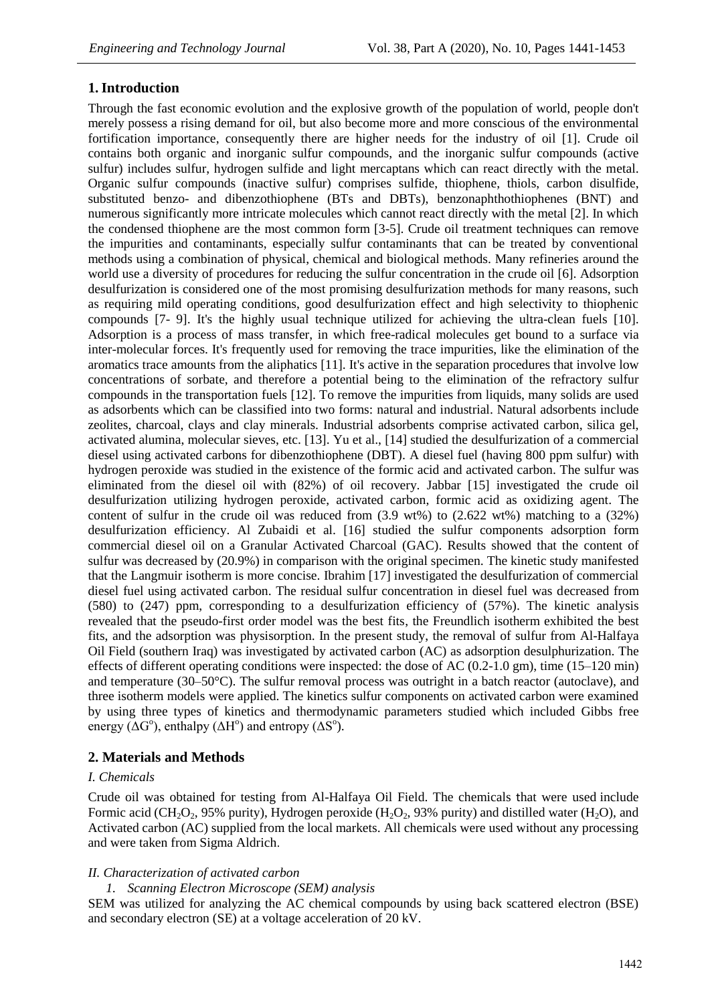# **1.Introduction**

Through the fast economic evolution and the explosive growth of the population of world, people don't merely possess a rising demand for oil, but also become more and more conscious of the environmental fortification importance, consequently there are higher needs for the industry of oil [1]. Crude oil contains both organic and inorganic sulfur compounds, and the inorganic sulfur compounds (active sulfur) includes sulfur, hydrogen sulfide and light mercaptans which can react directly with the metal. Organic sulfur compounds (inactive sulfur) comprises sulfide, thiophene, thiols, carbon disulfide, substituted benzo- and dibenzothiophene (BTs and DBTs), benzonaphthothiophenes (BNT) and numerous significantly more intricate molecules which cannot react directly with the metal [2]. In which the condensed thiophene are the most common form [3-5]. Crude oil treatment techniques can remove the impurities and contaminants, especially sulfur contaminants that can be treated by conventional methods using a combination of physical, chemical and biological methods. Many refineries around the world use a diversity of procedures for reducing the sulfur concentration in the crude oil [6]. Adsorption desulfurization is considered one of the most promising desulfurization methods for many reasons, such as requiring mild operating conditions, good desulfurization effect and high selectivity to thiophenic compounds [7- 9]. It's the highly usual technique utilized for achieving the ultra-clean fuels [10]. Adsorption is a process of mass transfer, in which free-radical molecules get bound to a surface via inter-molecular forces. It's frequently used for removing the trace impurities, like the elimination of the aromatics trace amounts from the aliphatics [11]. It's active in the separation procedures that involve low concentrations of sorbate, and therefore a potential being to the elimination of the refractory sulfur compounds in the transportation fuels [12]. To remove the impurities from liquids, many solids are used as adsorbents which can be classified into two forms: natural and industrial. Natural adsorbents include zeolites, charcoal, clays and clay minerals. Industrial adsorbents comprise activated carbon, silica gel, activated alumina, molecular sieves, etc. [13]. Yu et al., [14] studied the desulfurization of a commercial diesel using activated carbons for dibenzothiophene (DBT). A diesel fuel (having 800 ppm sulfur) with hydrogen peroxide was studied in the existence of the formic acid and activated carbon. The sulfur was eliminated from the diesel oil with (82%) of oil recovery. Jabbar [15] investigated the crude oil desulfurization utilizing hydrogen peroxide, activated carbon, formic acid as oxidizing agent. The content of sulfur in the crude oil was reduced from  $(3.9 \text{ wt\%})$  to  $(2.622 \text{ wt\%})$  matching to a  $(32\%)$ desulfurization efficiency. Al Zubaidi et al. [16] studied the sulfur components adsorption form commercial diesel oil on a Granular Activated Charcoal (GAC). Results showed that the content of sulfur was decreased by (20.9%) in comparison with the original specimen. The kinetic study manifested that the Langmuir isotherm is more concise. Ibrahim [17] investigated the desulfurization of commercial diesel fuel using activated carbon. The residual sulfur concentration in diesel fuel was decreased from (580) to (247) ppm, corresponding to a desulfurization efficiency of (57%). The kinetic analysis revealed that the pseudo-first order model was the best fits, the Freundlich isotherm exhibited the best fits, and the adsorption was physisorption. In the present study, the removal of sulfur from Al-Halfaya Oil Field (southern Iraq) was investigated by activated carbon (AC) as adsorption desulphurization. The effects of different operating conditions were inspected: the dose of AC (0.2-1.0 gm), time (15–120 min) and temperature (30–50°C). The sulfur removal process was outright in a batch reactor (autoclave), and three isotherm models were applied. The kinetics sulfur components on activated carbon were examined by using three types of kinetics and thermodynamic parameters studied which included Gibbs free energy ( $\Delta G^{\circ}$ ), enthalpy ( $\Delta H^{\circ}$ ) and entropy ( $\Delta S^{\circ}$ ).

# **2. Materials and Methods**

# *I. Chemicals*

Crude oil was obtained for testing from Al-Halfaya Oil Field. The chemicals that were used include Formic acid (CH<sub>2</sub>O<sub>2</sub>, 95% purity), Hydrogen peroxide (H<sub>2</sub>O<sub>2</sub>, 93% purity) and distilled water (H<sub>2</sub>O), and Activated carbon (AC) supplied from the local markets. All chemicals were used without any processing and were taken from Sigma Aldrich.

# *II. Characterization of activated carbon*

# *1. Scanning Electron Microscope (SEM) analysis*

SEM was utilized for analyzing the AC chemical compounds by using back scattered electron (BSE) and secondary electron (SE) at a voltage acceleration of 20 kV.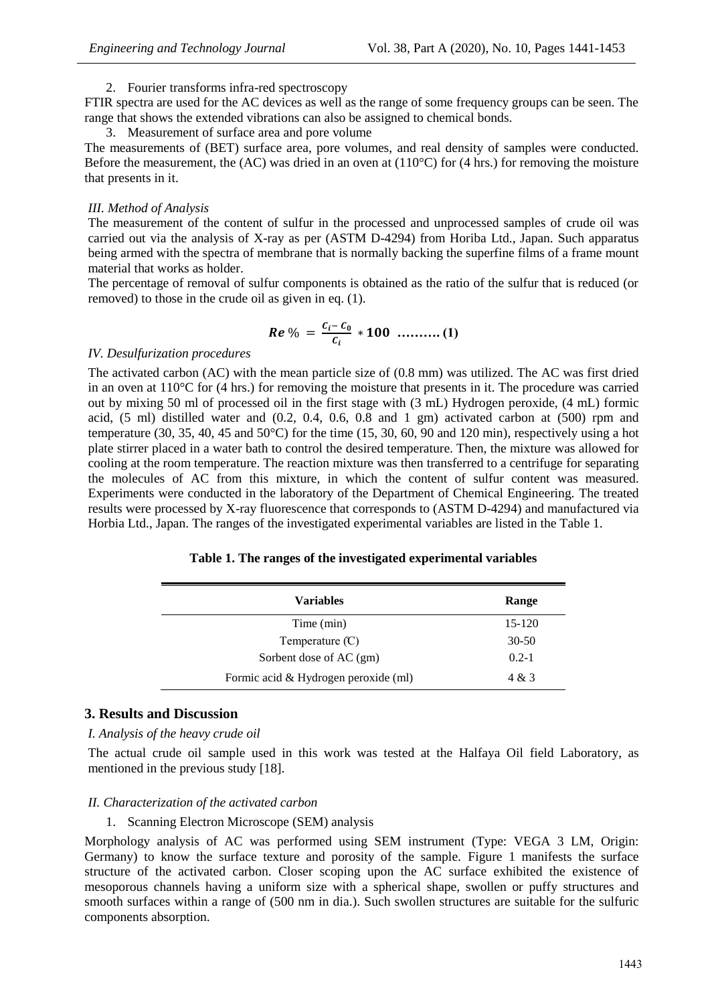## 2. Fourier transforms infra-red spectroscopy

FTIR spectra are used for the AC devices as well as the range of some frequency groups can be seen. The range that shows the extended vibrations can also be assigned to chemical bonds.

3. Measurement of surface area and pore volume

The measurements of (BET) surface area, pore volumes, and real density of samples were conducted. Before the measurement, the (AC) was dried in an oven at  $(110^{\circ}C)$  for (4 hrs.) for removing the moisture that presents in it.

## *III. Method of Analysis*

The measurement of the content of sulfur in the processed and unprocessed samples of crude oil was carried out via the analysis of X-ray as per (ASTM D-4294) from Horiba Ltd., Japan. Such apparatus being armed with the spectra of membrane that is normally backing the superfine films of a frame mount material that works as holder.

The percentage of removal of sulfur components is obtained as the ratio of the sulfur that is reduced (or removed) to those in the crude oil as given in eq. (1).

$$
Re\,\% = \frac{c_i - c_0}{c_i} * 100 \ \dots \dots \dots \dots (1)
$$

## *IV. Desulfurization procedures*

The activated carbon (AC) with the mean particle size of (0.8 mm) was utilized. The AC was first dried in an oven at 110°C for (4 hrs.) for removing the moisture that presents in it. The procedure was carried out by mixing 50 ml of processed oil in the first stage with (3 mL) Hydrogen peroxide, (4 mL) formic acid,  $(5 \text{ ml})$  distilled water and  $(0.2, 0.4, 0.6, 0.8 \text{ and } 1 \text{ gm})$  activated carbon at  $(500)$  rpm and temperature (30, 35, 40, 45 and 50°C) for the time (15, 30, 60, 90 and 120 min), respectively using a hot plate stirrer placed in a water bath to control the desired temperature. Then, the mixture was allowed for cooling at the room temperature. The reaction mixture was then transferred to a centrifuge for separating the molecules of AC from this mixture, in which the content of sulfur content was measured. Experiments were conducted in the laboratory of the Department of Chemical Engineering. The treated results were processed by X-ray fluorescence that corresponds to (ASTM D-4294) and manufactured via Horbia Ltd., Japan. The ranges of the investigated experimental variables are listed in the Table 1.

| <b>Variables</b>                     | Range     |
|--------------------------------------|-----------|
| Time (min)                           | $15-120$  |
| Temperature $(C)$                    | $30 - 50$ |
| Sorbent dose of AC (gm)              | $0.2 - 1$ |
| Formic acid & Hydrogen peroxide (ml) | 4 & 3     |

# **3. Results and Discussion**

# *I. Analysis of the heavy crude oil*

The actual crude oil sample used in this work was tested at the Halfaya Oil field Laboratory, as mentioned in the previous study [18].

# *II. Characterization of the activated carbon*

#### 1. Scanning Electron Microscope (SEM) analysis

Morphology analysis of AC was performed using SEM instrument (Type: VEGA 3 LM, Origin: Germany) to know the surface texture and porosity of the sample. Figure 1 manifests the surface structure of the activated carbon. Closer scoping upon the AC surface exhibited the existence of mesoporous channels having a uniform size with a spherical shape, swollen or puffy structures and smooth surfaces within a range of (500 nm in dia.). Such swollen structures are suitable for the sulfuric components absorption.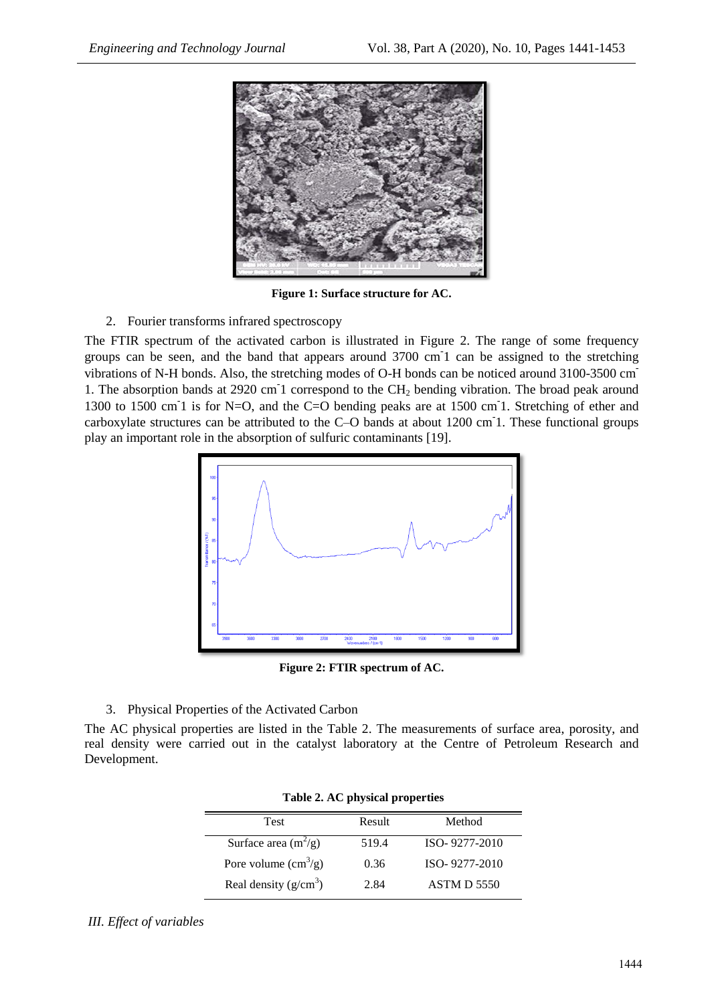

**Figure 1: Surface structure for AC.**

2. Fourier transforms infrared spectroscopy

The FTIR spectrum of the activated carbon is illustrated in Figure 2. The range of some frequency groups can be seen, and the band that appears around 3700 cm<sup>-1</sup> can be assigned to the stretching vibrations of N-H bonds. Also, the stretching modes of O-H bonds can be noticed around 3100-3500 cm-1. The absorption bands at 2920 cm<sup>-</sup>1 correspond to the CH<sub>2</sub> bending vibration. The broad peak around 1300 to 1500 cm<sup>-</sup>1 is for N=O, and the C=O bending peaks are at 1500 cm<sup>-1</sup>. Stretching of ether and carboxylate structures can be attributed to the C–O bands at about 1200 cm-1. These functional groups play an important role in the absorption of sulfuric contaminants [19].



**Figure 2: FTIR spectrum of AC.**

3. Physical Properties of the Activated Carbon

The AC physical properties are listed in the Table 2. The measurements of surface area, porosity, and real density were carried out in the catalyst laboratory at the Centre of Petroleum Research and Development.

| <b>Test</b>                          | Result | Method             |  |  |
|--------------------------------------|--------|--------------------|--|--|
| Surface area $(m^2/g)$               | 519.4  | ISO-9277-2010      |  |  |
| Pore volume $\text{cm}^3\text{/g}$ ) | 0.36   | ISO-9277-2010      |  |  |
| Real density $(g/cm^3)$              | 2.84   | <b>ASTM D 5550</b> |  |  |

|  |  |  | Table 2. AC physical properties |
|--|--|--|---------------------------------|
|--|--|--|---------------------------------|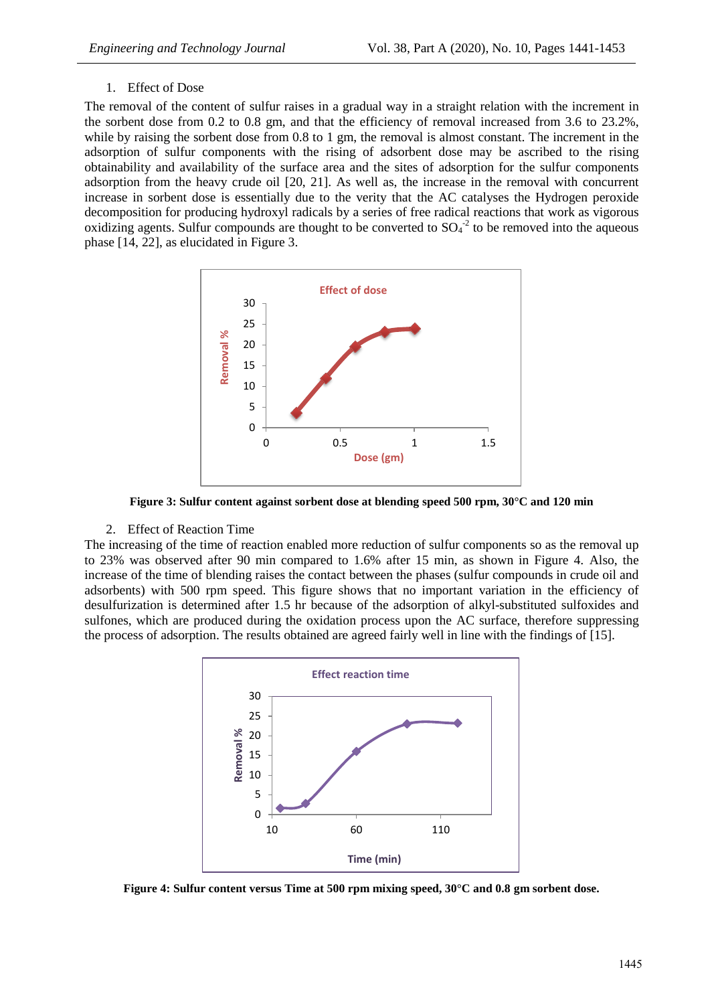#### 1. Effect of Dose

The removal of the content of sulfur raises in a gradual way in a straight relation with the increment in the sorbent dose from 0.2 to 0.8 gm, and that the efficiency of removal increased from 3.6 to 23.2%, while by raising the sorbent dose from 0.8 to 1 gm, the removal is almost constant. The increment in the adsorption of sulfur components with the rising of adsorbent dose may be ascribed to the rising obtainability and availability of the surface area and the sites of adsorption for the sulfur components adsorption from the heavy crude oil [20, 21]. As well as, the increase in the removal with concurrent increase in sorbent dose is essentially due to the verity that the AC catalyses the Hydrogen peroxide decomposition for producing hydroxyl radicals by a series of free radical reactions that work as vigorous oxidizing agents. Sulfur compounds are thought to be converted to  $SO_4^2$  to be removed into the aqueous phase [14, 22], as elucidated in Figure 3.



**Figure 3: Sulfur content against sorbent dose at blending speed 500 rpm, 30°C and 120 min**

#### 2. Effect of Reaction Time

The increasing of the time of reaction enabled more reduction of sulfur components so as the removal up to 23% was observed after 90 min compared to 1.6% after 15 min, as shown in Figure 4. Also, the increase of the time of blending raises the contact between the phases (sulfur compounds in crude oil and adsorbents) with 500 rpm speed. This figure shows that no important variation in the efficiency of desulfurization is determined after 1.5 hr because of the adsorption of alkyl-substituted sulfoxides and sulfones, which are produced during the oxidation process upon the AC surface, therefore suppressing the process of adsorption. The results obtained are agreed fairly well in line with the findings of [15].



**Figure 4: Sulfur content versus Time at 500 rpm mixing speed, 30°C and 0.8 gm sorbent dose.**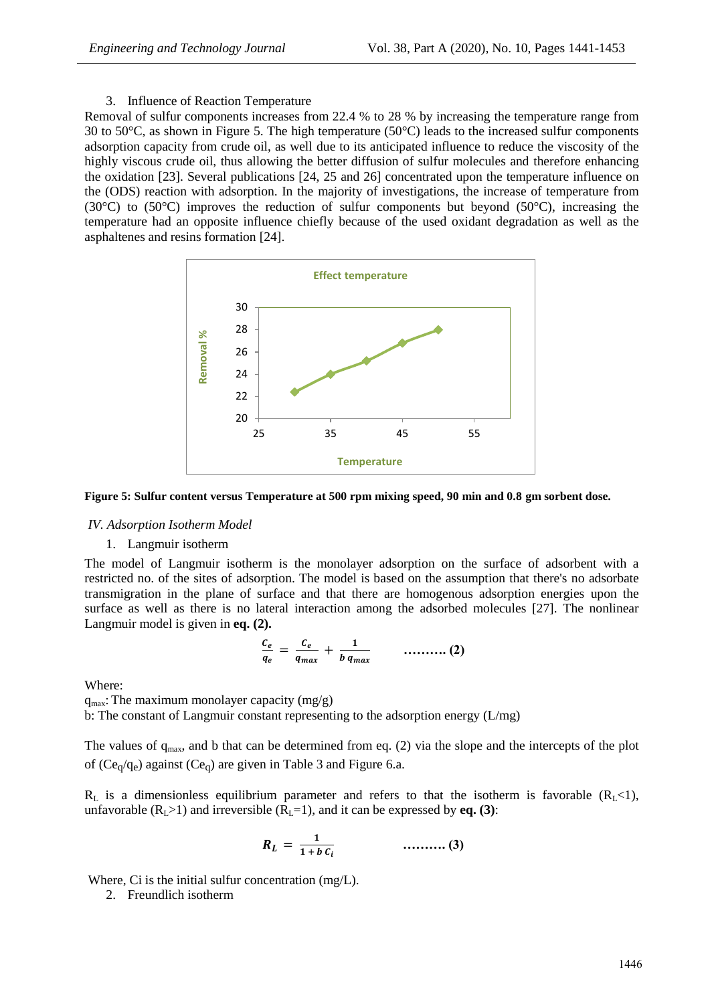3. Influence of Reaction Temperature

Removal of sulfur components increases from 22.4 % to 28 % by increasing the temperature range from 30 to 50 $^{\circ}$ C, as shown in Figure 5. The high temperature (50 $^{\circ}$ C) leads to the increased sulfur components adsorption capacity from crude oil, as well due to its anticipated influence to reduce the viscosity of the highly viscous crude oil, thus allowing the better diffusion of sulfur molecules and therefore enhancing the oxidation [23]. Several publications [24, 25 and 26] concentrated upon the temperature influence on the (ODS) reaction with adsorption. In the majority of investigations, the increase of temperature from (30 $^{\circ}$ C) to (50 $^{\circ}$ C) improves the reduction of sulfur components but beyond (50 $^{\circ}$ C), increasing the temperature had an opposite influence chiefly because of the used oxidant degradation as well as the asphaltenes and resins formation [24].



**Figure 5: Sulfur content versus Temperature at 500 rpm mixing speed, 90 min and 0.8 gm sorbent dose.**

#### *IV. Adsorption Isotherm Model*

#### 1. Langmuir isotherm

The model of Langmuir isotherm is the monolayer adsorption on the surface of adsorbent with a restricted no. of the sites of adsorption. The model is based on the assumption that there's no adsorbate transmigration in the plane of surface and that there are homogenous adsorption energies upon the surface as well as there is no lateral interaction among the adsorbed molecules [27]. The nonlinear Langmuir model is given in **eq. (2).**

$$
\frac{c_e}{q_e} = \frac{c_e}{q_{max}} + \frac{1}{b \, q_{max}} \qquad \qquad \ldots \ldots \ldots \ldots \tag{2}
$$

Where:

 $q_{\text{max}}$ : The maximum monolayer capacity (mg/g)

b: The constant of Langmuir constant representing to the adsorption energy (L/mg)

The values of  $q_{\text{max}}$ , and b that can be determined from eq. (2) via the slope and the intercepts of the plot of ( $Ce_q/q_e$ ) against ( $Ce_q$ ) are given in Table 3 and Figure 6.a.

 $R_L$  is a dimensionless equilibrium parameter and refers to that the isotherm is favorable ( $R_L$ <1), unfavorable  $(R_L>1)$  and irreversible  $(R_L=1)$ , and it can be expressed by **eq. (3)**:

$$
R_L = \frac{1}{1 + b c_i} \qquad \qquad \dots \dots \dots \dots (3)
$$

Where, Ci is the initial sulfur concentration (mg/L).

2. Freundlich isotherm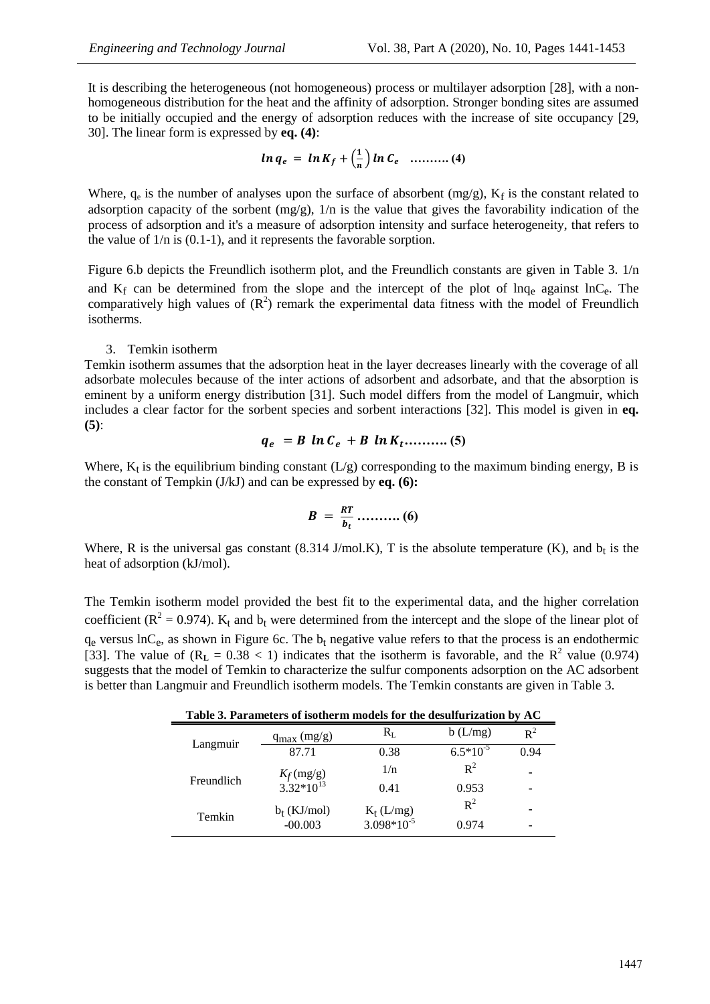It is describing the heterogeneous (not homogeneous) process or multilayer adsorption [28], with a nonhomogeneous distribution for the heat and the affinity of adsorption. Stronger bonding sites are assumed to be initially occupied and the energy of adsorption reduces with the increase of site occupancy [29, 30]. The linear form is expressed by **eq. (4)**:

$$
\ln q_e = \ln K_f + \left(\frac{1}{n}\right) \ln C_e \quad \dots \dots \dots \dots (4)
$$

Where,  $q_e$  is the number of analyses upon the surface of absorbent  $(mg/g)$ ,  $K_f$  is the constant related to adsorption capacity of the sorbent  $(mg/g)$ ,  $1/n$  is the value that gives the favorability indication of the process of adsorption and it's a measure of adsorption intensity and surface heterogeneity, that refers to the value of 1/n is (0.1-1), and it represents the favorable sorption.

Figure 6.b depicts the Freundlich isotherm plot, and the Freundlich constants are given in Table 3. 1/n and  $K_f$  can be determined from the slope and the intercept of the plot of lnq<sub>e</sub> against lnC<sub>e</sub>. The comparatively high values of  $(R^2)$  remark the experimental data fitness with the model of Freundlich isotherms.

#### 3. Temkin isotherm

Temkin isotherm assumes that the adsorption heat in the layer decreases linearly with the coverage of all adsorbate molecules because of the inter actions of adsorbent and adsorbate, and that the absorption is eminent by a uniform energy distribution [31]. Such model differs from the model of Langmuir, which includes a clear factor for the sorbent species and sorbent interactions [32]. This model is given in **eq. (5)**:

$$
q_e = B \ln C_e + B \ln K_t \dots \dots \dots \dots \dots \dots \quad (5)
$$

Where,  $K_t$  is the equilibrium binding constant (L/g) corresponding to the maximum binding energy, B is the constant of Tempkin (J/kJ) and can be expressed by **eq. (6):**

 **………. (6)**

Where, R is the universal gas constant (8.314 J/mol.K), T is the absolute temperature (K), and  $b_t$  is the heat of adsorption (kJ/mol).

The Temkin isotherm model provided the best fit to the experimental data, and the higher correlation coefficient ( $R^2 = 0.974$ ).  $K_t$  and  $b_t$  were determined from the intercept and the slope of the linear plot of  $q_e$  versus  $lnC_e$ , as shown in Figure 6c. The  $b_t$  negative value refers to that the process is an endothermic [33]. The value of  $(R_L = 0.38 < 1)$  indicates that the isotherm is favorable, and the  $R^2$  value (0.974) suggests that the model of Temkin to characterize the sulfur components adsorption on the AC adsorbent is better than Langmuir and Freundlich isotherm models. The Temkin constants are given in Table 3.

| Table 3. Parameters of isotherm models for the desulfurization by AC |                                       |                                        |               |                |
|----------------------------------------------------------------------|---------------------------------------|----------------------------------------|---------------|----------------|
| Langmuir                                                             | $q_{max}(mg/g)$                       | $\rm R_L$                              | b(L/mg)       | $\mathsf{R}^2$ |
|                                                                      | 87.71                                 | 0.38                                   | $6.5*10^{-5}$ | 0.94           |
| Freundlich                                                           |                                       | 1/n                                    | $R^2$         | ۰              |
|                                                                      | $K_f$ (mg/g)<br>3.32*10 <sup>13</sup> | 0.41                                   | 0.953         |                |
| Temkin                                                               | $b_t$ (KJ/mol)                        | $K_t$ (L/mg)<br>3.098*10 <sup>-5</sup> | $R^2$         |                |
|                                                                      | $-00.003$                             |                                        | 0.974         |                |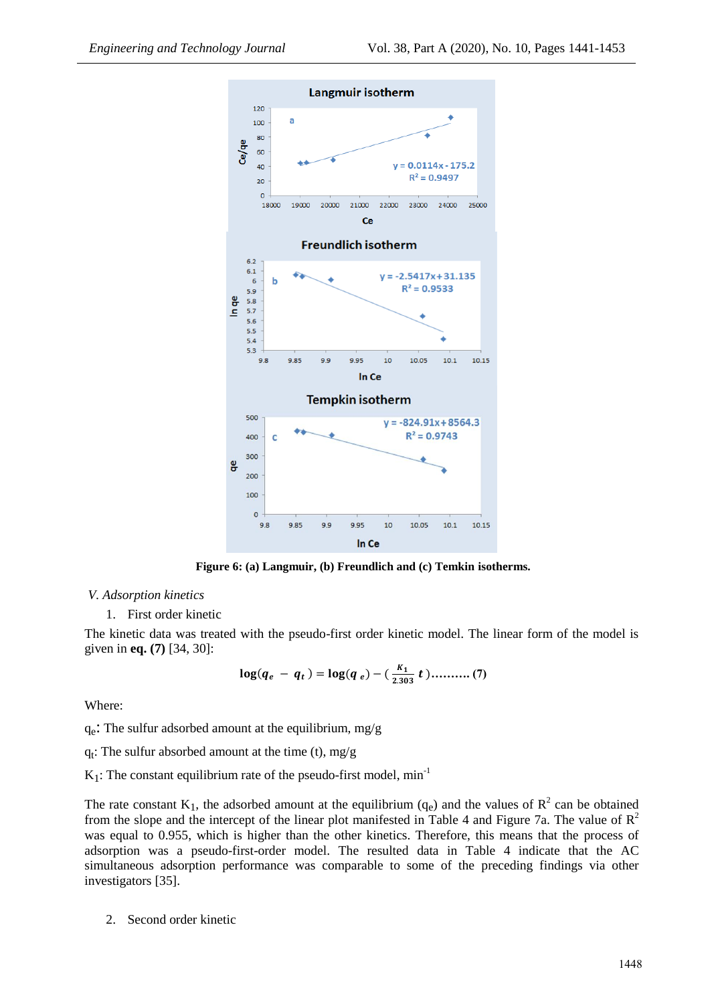

**Figure 6: (a) Langmuir, (b) Freundlich and (c) Temkin isotherms.**

#### *V. Adsorption kinetics*

1. First order kinetic

The kinetic data was treated with the pseudo-first order kinetic model. The linear form of the model is given in **eq. (7)** [34, 30]:

$$
\log(q_e - q_t) = \log(q_e) - (\frac{K_1}{2.303} t) \dots \dots \dots (7)
$$

Where:

qe : The sulfur adsorbed amount at the equilibrium, mg/g

qt : The sulfur absorbed amount at the time (t), mg/g

 $K_1$ : The constant equilibrium rate of the pseudo-first model, min<sup>-1</sup>

The rate constant  $K_1$ , the adsorbed amount at the equilibrium  $(q_e)$  and the values of  $R^2$  can be obtained from the slope and the intercept of the linear plot manifested in Table 4 and Figure 7a. The value of  $R^2$ was equal to 0.955, which is higher than the other kinetics. Therefore, this means that the process of adsorption was a pseudo-first-order model. The resulted data in Table 4 indicate that the AC simultaneous adsorption performance was comparable to some of the preceding findings via other investigators [35].

2. Second order kinetic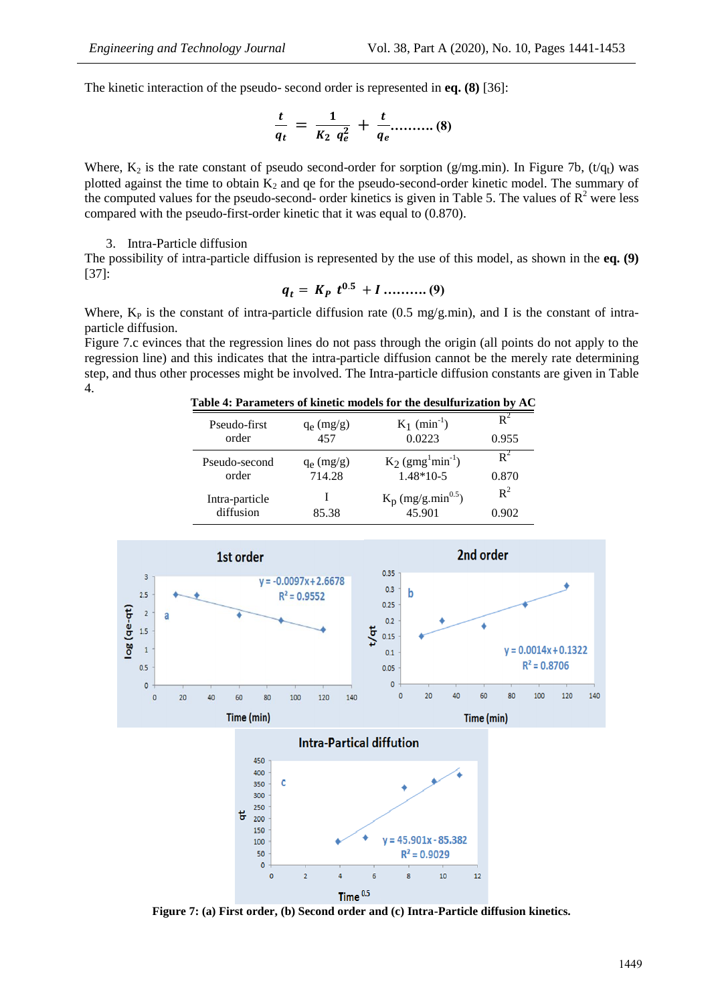The kinetic interaction of the pseudo- second order is represented in **eq. (8)** [36]:

$$
\frac{t}{q_t} = \frac{1}{K_2 q_e^2} + \frac{t}{q_e} \dots \dots \dots (8)
$$

Where,  $K_2$  is the rate constant of pseudo second-order for sorption (g/mg.min). In Figure 7b, (t/q<sub>t</sub>) was plotted against the time to obtain  $K_2$  and qe for the pseudo-second-order kinetic model. The summary of the computed values for the pseudo-second- order kinetics is given in Table 5. The values of  $R^2$  were less compared with the pseudo-first-order kinetic that it was equal to (0.870).

#### 3. Intra-Particle diffusion

The possibility of intra-particle diffusion is represented by the use of this model, as shown in the **eq. (9)** [37]:

$$
q_t = K_P \ t^{0.5} + I \dots \dots \dots \dots (9)
$$

Where,  $K_P$  is the constant of intra-particle diffusion rate (0.5 mg/g.min), and I is the constant of intraparticle diffusion.

Figure 7.c evinces that the regression lines do not pass through the origin (all points do not apply to the regression line) and this indicates that the intra-particle diffusion cannot be the merely rate determining step, and thus other processes might be involved. The Intra-particle diffusion constants are given in Table 4.

| Table 4: Parameters of kinetic models for the desulfurization by AC |  |  |  |  |  |  |
|---------------------------------------------------------------------|--|--|--|--|--|--|
|---------------------------------------------------------------------|--|--|--|--|--|--|

| Pseudo-first   | $q_e$ (mg/g) | $K_1$ (min <sup>-1</sup> )                  | $\mathbf{R}^2$ |
|----------------|--------------|---------------------------------------------|----------------|
| order          | 457          | 0.0223                                      | 0.955          |
| Pseudo-second  | $q_e$ (mg/g) | $K_2$ (gmg <sup>1</sup> min <sup>-1</sup> ) | R٠             |
| order          | 714.28       | $1.48*10-5$                                 | 0.870          |
| Intra-particle | 85.38        | $K_p$ (mg/g.min <sup>0.5</sup> )            | $R^2$          |
| diffusion      |              | 45.901                                      | 0.902          |



Time $^{0.5}$ **Figure 7: (a) First order, (b) Second order and (c) Intra-Particle diffusion kinetics.**

6

 $R^2 = 0.9029$ 

 $\overline{\mathbf{g}}$ 

10

 ${\bf 12}$ 

50

 $\circ$ O

 $\overline{2}$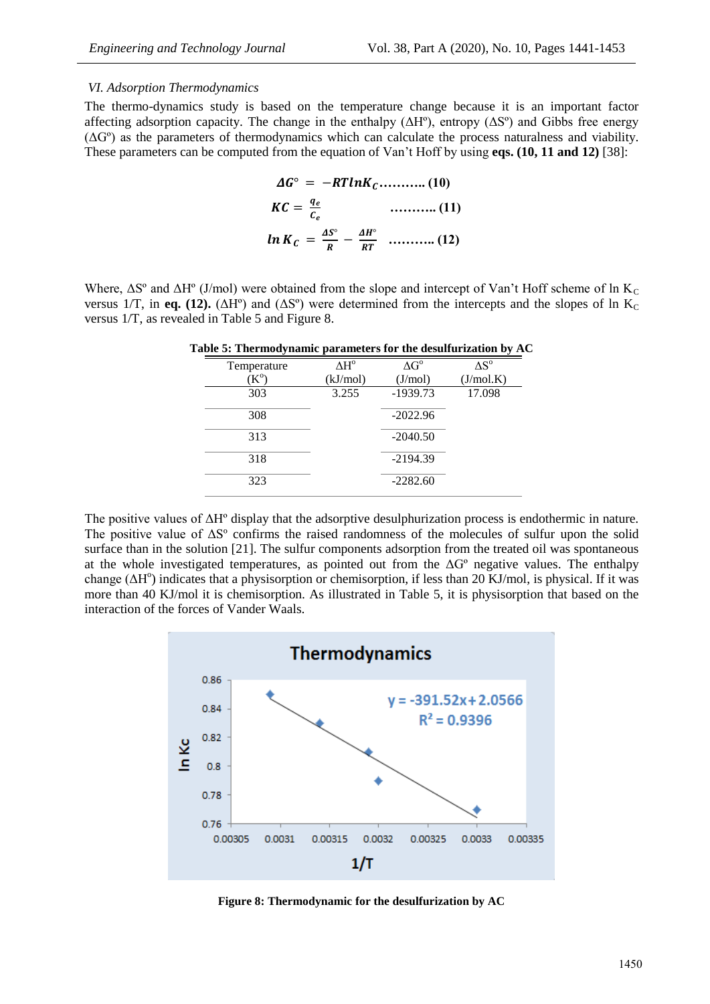#### *VI. Adsorption Thermodynamics*

The thermo-dynamics study is based on the temperature change because it is an important factor affecting adsorption capacity. The change in the enthalpy ( $\Delta H^{\circ}$ ), entropy ( $\Delta S^{\circ}$ ) and Gibbs free energy  $(\Delta G^{\circ})$  as the parameters of thermodynamics which can calculate the process naturalness and viability. These parameters can be computed from the equation of Van't Hoff by using **eqs. (10, 11 and 12)** [38]:

 **……….. (10) ……….. (11) ……….. (12)**

Where,  $\Delta S^{\circ}$  and  $\Delta H^{\circ}$  (J/mol) were obtained from the slope and intercept of Van't Hoff scheme of ln K<sub>C</sub> versus 1/T, in **eq. (12).** ( $\Delta H^{\circ}$ ) and ( $\Delta S^{\circ}$ ) were determined from the intercepts and the slopes of ln K<sub>C</sub> versus 1/T, as revealed in Table 5 and Figure 8.

|             |          |                    | able 5. Thermodynamic parameters for the desundrization by Av |
|-------------|----------|--------------------|---------------------------------------------------------------|
| Temperature | ΔH°      | $\Delta G^{\circ}$ | $\Delta S^{o}$                                                |
| $K^{\rm o}$ | (kJ/mol) | (J/mol)            | (J/mol.K)                                                     |
| 303         | 3.255    | $-1939.73$         | 17.098                                                        |
| 308         |          | $-2022.96$         |                                                               |
| 313         |          | $-2040.50$         |                                                               |
| 318         |          | $-2194.39$         |                                                               |
| 323         |          | $-2282.60$         |                                                               |
|             |          |                    |                                                               |

**Table 5: Thermodynamic parameters for the desulfurization by AC**

The positive values of ΔHº display that the adsorptive desulphurization process is endothermic in nature. The positive value of ΔSº confirms the raised randomness of the molecules of sulfur upon the solid surface than in the solution [21]. The sulfur components adsorption from the treated oil was spontaneous at the whole investigated temperatures, as pointed out from the  $\Delta G^{\circ}$  negative values. The enthalpy change (ΔH<sup>o</sup>) indicates that a physisorption or chemisorption, if less than 20 KJ/mol, is physical. If it was more than 40 KJ/mol it is chemisorption. As illustrated in Table 5, it is physisorption that based on the interaction of the forces of Vander Waals.



**Figure 8: Thermodynamic for the desulfurization by AC**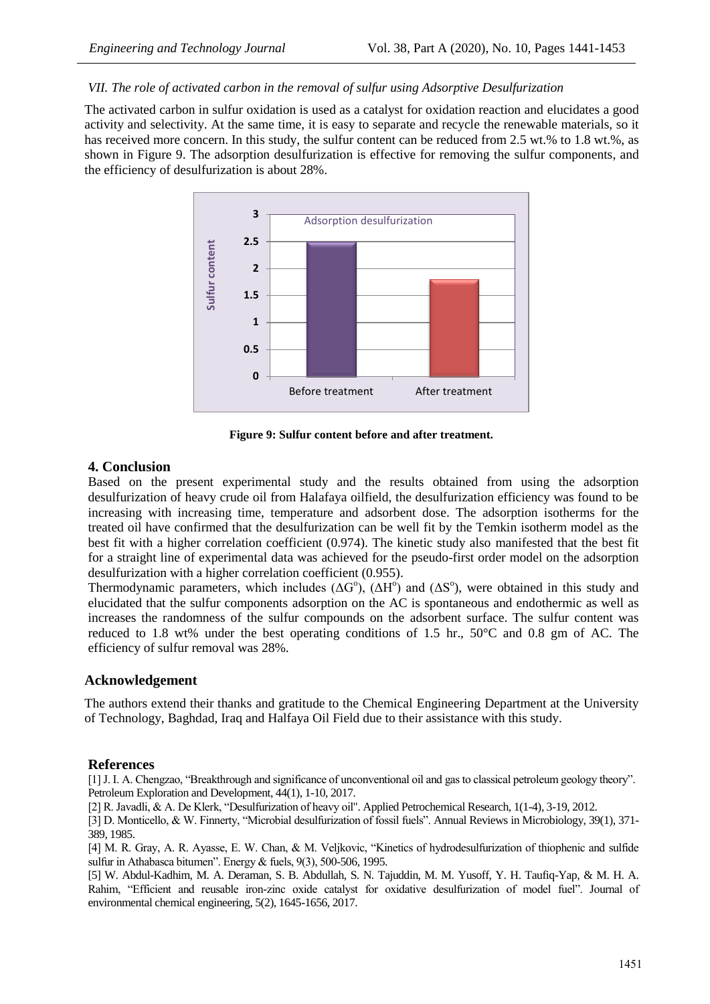## *VII. The role of activated carbon in the removal of sulfur using Adsorptive Desulfurization*

The activated carbon in sulfur oxidation is used as a catalyst for oxidation reaction and elucidates a good activity and selectivity. At the same time, it is easy to separate and recycle the renewable materials, so it has received more concern. In this study, the sulfur content can be reduced from 2.5 wt.% to 1.8 wt.%, as shown in Figure 9. The adsorption desulfurization is effective for removing the sulfur components, and the efficiency of desulfurization is about 28%.



**Figure 9: Sulfur content before and after treatment.**

# **4. Conclusion**

Based on the present experimental study and the results obtained from using the adsorption desulfurization of heavy crude oil from Halafaya oilfield, the desulfurization efficiency was found to be increasing with increasing time, temperature and adsorbent dose. The adsorption isotherms for the treated oil have confirmed that the desulfurization can be well fit by the Temkin isotherm model as the best fit with a higher correlation coefficient (0.974). The kinetic study also manifested that the best fit for a straight line of experimental data was achieved for the pseudo-first order model on the adsorption desulfurization with a higher correlation coefficient (0.955).

Thermodynamic parameters, which includes  $(\Delta G^{\circ})$ ,  $(\Delta H^{\circ})$  and  $(\Delta S^{\circ})$ , were obtained in this study and elucidated that the sulfur components adsorption on the AC is spontaneous and endothermic as well as increases the randomness of the sulfur compounds on the adsorbent surface. The sulfur content was reduced to 1.8 wt% under the best operating conditions of 1.5 hr.,  $50^{\circ}$ C and 0.8 gm of AC. The efficiency of sulfur removal was 28%.

# **Acknowledgement**

The authors extend their thanks and gratitude to the Chemical Engineering Department at the University of Technology, Baghdad, Iraq and Halfaya Oil Field due to their assistance with this study.

#### **References**

[1] J. I. A. Chengzao, "Breakthrough and significance of unconventional oil and gas to classical petroleum geology theory". Petroleum Exploration and Development, 44(1), 1-10, 2017.

[2] R. Javadli, & A. De Klerk, "Desulfurization of heavy oil". Applied Petrochemical Research, 1(1-4), 3-19, 2012.

[3] D. Monticello, & W. Finnerty, "Microbial desulfurization of fossil fuels". Annual Reviews in Microbiology, 39(1), 371- 389, 1985.

[4] M. R. Gray, A. R. Ayasse, E. W. Chan, & M. Veljkovic, "Kinetics of hydrodesulfurization of thiophenic and sulfide sulfur in Athabasca bitumen". Energy & fuels, 9(3), 500-506, 1995.

[5] W. Abdul-Kadhim, M. A. Deraman, S. B. Abdullah, S. N. Tajuddin, M. M. Yusoff, Y. H. Taufiq-Yap, & M. H. A. Rahim, "Efficient and reusable iron-zinc oxide catalyst for oxidative desulfurization of model fuel". Journal of environmental chemical engineering, 5(2), 1645-1656, 2017.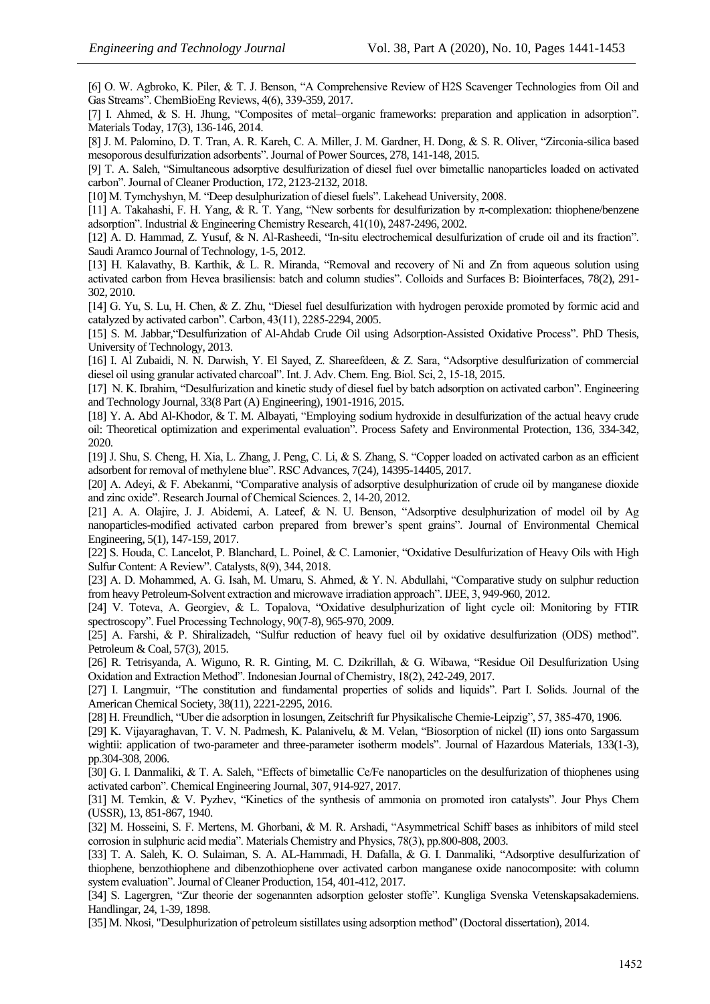[6] O. W. Agbroko, K. Piler, & T. J. Benson, "A Comprehensive Review of H2S Scavenger Technologies from Oil and Gas Streams". ChemBioEng Reviews, 4(6), 339-359, 2017.

[7] I. Ahmed, & S. H. Jhung, "Composites of metal–organic frameworks: preparation and application in adsorption". Materials Today, 17(3), 136-146, 2014.

[8] J. M. Palomino, D. T. Tran, A. R. Kareh, C. A. Miller, J. M. Gardner, H. Dong, & S. R. Oliver, "Zirconia-silica based mesoporous desulfurization adsorbents". Journal of Power Sources, 278, 141-148, 2015.

[9] T. A. Saleh, "Simultaneous adsorptive desulfurization of diesel fuel over bimetallic nanoparticles loaded on activated carbon". Journal of Cleaner Production, 172, 2123-2132, 2018.

[10] M. Tymchyshyn, M. "Deep desulphurization of diesel fuels". Lakehead University, 2008.

[11] A. Takahashi, F. H. Yang, & R. T. Yang, "New sorbents for desulfurization by π-complexation: thiophene/benzene adsorption". Industrial & Engineering Chemistry Research, 41(10), 2487-2496, 2002.

[12] A. D. Hammad, Z. Yusuf, & N. Al-Rasheedi, "In-situ electrochemical desulfurization of crude oil and its fraction". Saudi Aramco Journal of Technology, 1-5, 2012.

[13] H. Kalavathy, B. Karthik, & L. R. Miranda, "Removal and recovery of Ni and Zn from aqueous solution using activated carbon from Hevea brasiliensis: batch and column studies". Colloids and Surfaces B: Biointerfaces, 78(2), 291- 302, 2010.

[14] G. Yu, S. Lu, H. Chen, & Z. Zhu, "Diesel fuel desulfurization with hydrogen peroxide promoted by formic acid and catalyzed by activated carbon". Carbon, 43(11), 2285-2294, 2005.

[15] S. M. Jabbar,"Desulfurization of Al-Ahdab Crude Oil using Adsorption-Assisted Oxidative Process". PhD Thesis, University of Technology, 2013.

[16] I. Al Zubaidi, N. N. Darwish, Y. El Sayed, Z. Shareefdeen, & Z. Sara, "Adsorptive desulfurization of commercial diesel oil using granular activated charcoal". Int. J. Adv. Chem. Eng. Biol. Sci, 2, 15-18, 2015.

[17] N. K. Ibrahim, "Desulfurization and kinetic study of diesel fuel by batch adsorption on activated carbon". Engineering and Technology Journal, 33(8 Part (A) Engineering), 1901-1916, 2015.

[18] Y. A. Abd Al-Khodor, & T. M. Albayati, "Employing sodium hydroxide in desulfurization of the actual heavy crude oil: Theoretical optimization and experimental evaluation". Process Safety and Environmental Protection, 136, 334-342, 2020.

[19] J. Shu, S. Cheng, H. Xia, L. Zhang, J. Peng, C. Li, & S. Zhang, S. "Copper loaded on activated carbon as an efficient adsorbent for removal of methylene blue". RSC Advances, 7(24), 14395-14405, 2017.

[20] A. Adeyi, & F. Abekanmi, "Comparative analysis of adsorptive desulphurization of crude oil by manganese dioxide and zinc oxide". Research Journal of Chemical Sciences. 2, 14-20, 2012.

[21] A. A. Olajire, J. J. Abidemi, A. Lateef, & N. U. Benson, "Adsorptive desulphurization of model oil by Ag nanoparticles-modified activated carbon prepared from brewer's spent grains". Journal of Environmental Chemical Engineering, 5(1), 147-159, 2017.

[22] S. Houda, C. Lancelot, P. Blanchard, L. Poinel, & C. Lamonier, "Oxidative Desulfurization of Heavy Oils with High Sulfur Content: A Review". Catalysts, 8(9), 344, 2018.

[23] A. D. Mohammed, A. G. Isah, M. Umaru, S. Ahmed, & Y. N. Abdullahi, "Comparative study on sulphur reduction from heavy Petroleum-Solvent extraction and microwave irradiation approach". IJEE, 3, 949-960, 2012.

[24] V. Toteva, A. Georgiev, & L. Topalova, "Oxidative desulphurization of light cycle oil: Monitoring by FTIR spectroscopy". Fuel Processing Technology, 90(7-8), 965-970, 2009.

[25] A. Farshi, & P. Shiralizadeh, "Sulfur reduction of heavy fuel oil by oxidative desulfurization (ODS) method". Petroleum & Coal, 57(3), 2015.

[26] R. Tetrisyanda, A. Wiguno, R. R. Ginting, M. C. Dzikrillah, & G. Wibawa, "Residue Oil Desulfurization Using Oxidation and Extraction Method". Indonesian Journal of Chemistry, 18(2), 242-249, 2017.

[27] I. Langmuir, "The constitution and fundamental properties of solids and liquids". Part I. Solids. Journal of the American Chemical Society, 38(11), 2221-2295, 2016.

[28] H. Freundlich, "Uber die adsorption in losungen, Zeitschrift fur Physikalische Chemie-Leipzig", 57, 385-470, 1906.

[29] K. Vijayaraghavan, T. V. N. Padmesh, K. Palanivelu, & M. Velan, "Biosorption of nickel (II) ions onto Sargassum wightii: application of two-parameter and three-parameter isotherm models". Journal of Hazardous Materials, 133(1-3), pp.304-308, 2006.

[30] G. I. Danmaliki, & T. A. Saleh, "Effects of bimetallic Ce/Fe nanoparticles on the desulfurization of thiophenes using activated carbon". Chemical Engineering Journal, 307, 914-927, 2017.

[31] M. Temkin, & V. Pyzhev, "Kinetics of the synthesis of ammonia on promoted iron catalysts". Jour Phys Chem (USSR), 13, 851-867, 1940.

[32] M. Hosseini, S. F. Mertens, M. Ghorbani, & M. R. Arshadi, "Asymmetrical Schiff bases as inhibitors of mild steel corrosion in sulphuric acid media". Materials Chemistry and Physics, 78(3), pp.800-808, 2003.

[33] T. A. Saleh, K. O. Sulaiman, S. A. AL-Hammadi, H. Dafalla, & G. I. Danmaliki, "Adsorptive desulfurization of thiophene, benzothiophene and dibenzothiophene over activated carbon manganese oxide nanocomposite: with column system evaluation". Journal of Cleaner Production, 154, 401-412, 2017.

[34] S. Lagergren, "Zur theorie der sogenannten adsorption geloster stoffe". Kungliga Svenska Vetenskapsakademiens. Handlingar, 24, 1-39, 1898.

[35] M. Nkosi, "Desulphurization of petroleum sistillates using adsorption method" (Doctoral dissertation), 2014.